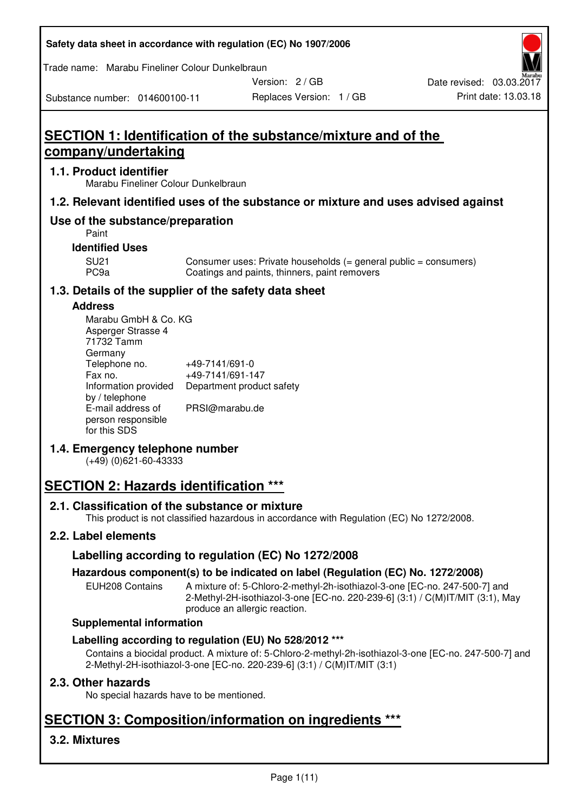#### **Safety data sheet in accordance with regulation (EC) No 1907/2006**

Trade name: Marabu Fineliner Colour Dunkelbraun

Substance number: 014600100-11

Version: 2 / GB

# **SECTION 1: Identification of the substance/mixture and of the company/undertaking**

#### **1.1. Product identifier**

Marabu Fineliner Colour Dunkelbraun

### **1.2. Relevant identified uses of the substance or mixture and uses advised against**

## **Use of the substance/preparation**

Paint

### **Identified Uses**

SU21 Consumer uses: Private households (= general public = consumers)<br>PC9a Coatings and paints, thinners, paint removers Coatings and paints, thinners, paint removers

#### **1.3. Details of the supplier of the safety data sheet**

#### **Address**

| Marabu GmbH & Co. KG |                           |
|----------------------|---------------------------|
| Asperger Strasse 4   |                           |
| 71732 Tamm           |                           |
| Germany              |                           |
| Telephone no.        | +49-7141/691-0            |
| Fax no.              | +49-7141/691-147          |
| Information provided | Department product safety |
| by / telephone       |                           |
| E-mail address of    | PRSI@marabu.de            |
| person responsible   |                           |
| for this SDS         |                           |

## **1.4. Emergency telephone number**

(+49) (0)621-60-43333

# **SECTION 2: Hazards identification \*\*\***

#### **2.1. Classification of the substance or mixture**

This product is not classified hazardous in accordance with Regulation (EC) No 1272/2008.

## **2.2. Label elements**

## **Labelling according to regulation (EC) No 1272/2008**

#### **Hazardous component(s) to be indicated on label (Regulation (EC) No. 1272/2008)**

EUH208 Contains A mixture of: 5-Chloro-2-methyl-2h-isothiazol-3-one [EC-no. 247-500-7] and 2-Methyl-2H-isothiazol-3-one [EC-no. 220-239-6] (3:1) / C(M)IT/MIT (3:1), May produce an allergic reaction.

#### **Supplemental information**

#### **Labelling according to regulation (EU) No 528/2012 \*\*\***

Contains a biocidal product. A mixture of: 5-Chloro-2-methyl-2h-isothiazol-3-one [EC-no. 247-500-7] and 2-Methyl-2H-isothiazol-3-one [EC-no. 220-239-6] (3:1) / C(M)IT/MIT (3:1)

#### **2.3. Other hazards**

No special hazards have to be mentioned.

# **SECTION 3: Composition/information on ingredients \*\*\***

## **3.2. Mixtures**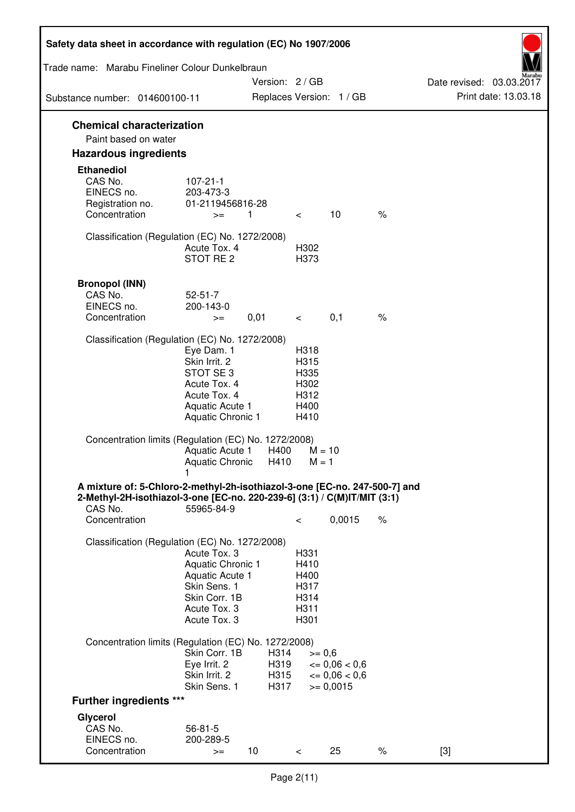| Safety data sheet in accordance with regulation (EC) No 1907/2006          |                                   |                            |              |                                     |      |                                                  |
|----------------------------------------------------------------------------|-----------------------------------|----------------------------|--------------|-------------------------------------|------|--------------------------------------------------|
| Trade name: Marabu Fineliner Colour Dunkelbraun                            |                                   |                            |              |                                     |      |                                                  |
|                                                                            |                                   | Version: 2 / GB            |              | Replaces Version: 1 / GB            |      | Date revised: 03.03.2017<br>Print date: 13.03.18 |
| Substance number: 014600100-11                                             |                                   |                            |              |                                     |      |                                                  |
| <b>Chemical characterization</b><br>Paint based on water                   |                                   |                            |              |                                     |      |                                                  |
| <b>Hazardous ingredients</b>                                               |                                   |                            |              |                                     |      |                                                  |
| <b>Ethanediol</b>                                                          |                                   |                            |              |                                     |      |                                                  |
| CAS No.                                                                    | $107 - 21 - 1$                    |                            |              |                                     |      |                                                  |
| EINECS no.<br>Registration no.                                             | 203-473-3<br>01-2119456816-28     |                            |              |                                     |      |                                                  |
| Concentration                                                              | $>=$                              | $\overline{\phantom{0}}$ 1 | $\lt$        | 10                                  | $\%$ |                                                  |
| Classification (Regulation (EC) No. 1272/2008)                             |                                   |                            |              |                                     |      |                                                  |
|                                                                            | Acute Tox. 4                      |                            | H302         |                                     |      |                                                  |
|                                                                            | STOT RE <sub>2</sub>              |                            | H373         |                                     |      |                                                  |
|                                                                            |                                   |                            |              |                                     |      |                                                  |
| <b>Bronopol (INN)</b><br>CAS No.                                           | $52 - 51 - 7$                     |                            |              |                                     |      |                                                  |
| EINECS no.                                                                 | 200-143-0                         |                            |              |                                     |      |                                                  |
| Concentration                                                              | $>=$                              | 0,01                       | $\lt$        | 0,1                                 | $\%$ |                                                  |
| Classification (Regulation (EC) No. 1272/2008)                             |                                   |                            |              |                                     |      |                                                  |
|                                                                            | Eye Dam. 1                        |                            | H318         |                                     |      |                                                  |
|                                                                            | Skin Irrit. 2                     |                            | H315         |                                     |      |                                                  |
|                                                                            | STOT SE3<br>Acute Tox. 4          |                            | H335<br>H302 |                                     |      |                                                  |
|                                                                            | Acute Tox. 4                      |                            | H312         |                                     |      |                                                  |
|                                                                            | Aquatic Acute 1                   |                            | H400         |                                     |      |                                                  |
|                                                                            | Aquatic Chronic 1                 |                            | H410         |                                     |      |                                                  |
| Concentration limits (Regulation (EC) No. 1272/2008)                       |                                   |                            |              |                                     |      |                                                  |
|                                                                            | Aquatic Acute 1                   | H400                       |              | $M = 10$                            |      |                                                  |
|                                                                            | <b>Aquatic Chronic</b>            | H410                       | $M = 1$      |                                     |      |                                                  |
| A mixture of: 5-Chloro-2-methyl-2h-isothiazol-3-one [EC-no. 247-500-7] and |                                   |                            |              |                                     |      |                                                  |
| 2-Methyl-2H-isothiazol-3-one [EC-no. 220-239-6] (3:1) / C(M)IT/MIT (3:1)   |                                   |                            |              |                                     |      |                                                  |
| CAS No.<br>Concentration                                                   | 55965-84-9                        |                            | $\,<\,$      | 0,0015                              | $\%$ |                                                  |
|                                                                            |                                   |                            |              |                                     |      |                                                  |
| Classification (Regulation (EC) No. 1272/2008)                             |                                   |                            |              |                                     |      |                                                  |
|                                                                            | Acute Tox. 3<br>Aquatic Chronic 1 |                            | H331<br>H410 |                                     |      |                                                  |
|                                                                            | Aquatic Acute 1                   |                            | H400         |                                     |      |                                                  |
|                                                                            | Skin Sens. 1                      |                            | H317         |                                     |      |                                                  |
|                                                                            | Skin Corr. 1B                     |                            | H314         |                                     |      |                                                  |
|                                                                            | Acute Tox. 3<br>Acute Tox. 3      |                            | H311<br>H301 |                                     |      |                                                  |
|                                                                            |                                   |                            |              |                                     |      |                                                  |
| Concentration limits (Regulation (EC) No. 1272/2008)                       |                                   |                            |              |                                     |      |                                                  |
|                                                                            | Skin Corr. 1B<br>Eye Irrit. 2     | H314<br>H319               |              | $>= 0,6$<br>$\epsilon = 0.06 < 0.6$ |      |                                                  |
|                                                                            | Skin Irrit. 2                     | H315                       |              | $\epsilon = 0.06 < 0.6$             |      |                                                  |
|                                                                            | Skin Sens. 1                      | H317                       |              | $= 0,0015$                          |      |                                                  |
| <b>Further ingredients ***</b>                                             |                                   |                            |              |                                     |      |                                                  |
| Glycerol                                                                   |                                   |                            |              |                                     |      |                                                  |
| CAS No.<br>EINECS no.                                                      | $56 - 81 - 5$<br>200-289-5        |                            |              |                                     |      |                                                  |
| Concentration                                                              | $>=$                              | 10                         | $\,<\,$      | 25                                  | $\%$ | $[3]$                                            |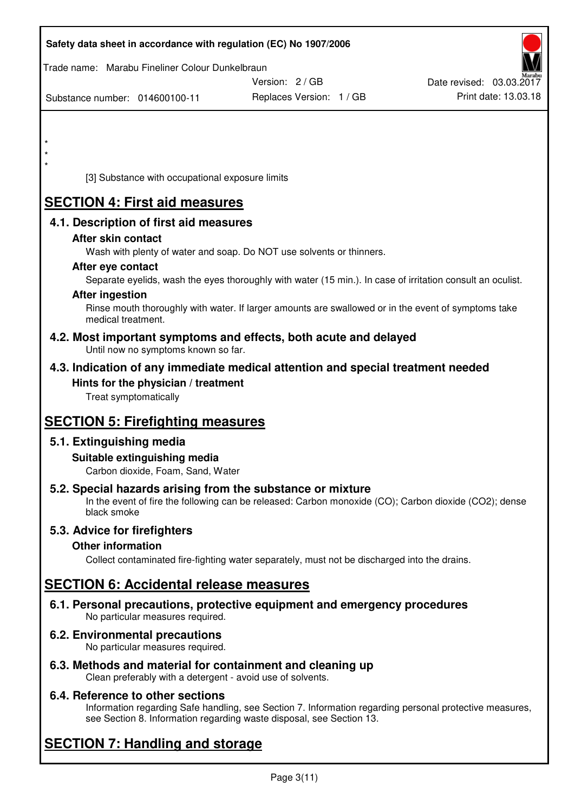|         | Safety data sheet in accordance with regulation (EC) No 1907/2006                                                       |                                                                                                            |                          |
|---------|-------------------------------------------------------------------------------------------------------------------------|------------------------------------------------------------------------------------------------------------|--------------------------|
|         | Trade name: Marabu Fineliner Colour Dunkelbraun                                                                         |                                                                                                            |                          |
|         |                                                                                                                         | Version: 2 / GB                                                                                            | Date revised: 03.03.2017 |
|         | Substance number: 014600100-11                                                                                          | Replaces Version: 1 / GB                                                                                   | Print date: 13.03.18     |
|         |                                                                                                                         |                                                                                                            |                          |
| $\star$ |                                                                                                                         |                                                                                                            |                          |
|         |                                                                                                                         |                                                                                                            |                          |
|         | [3] Substance with occupational exposure limits                                                                         |                                                                                                            |                          |
|         | <b>SECTION 4: First aid measures</b>                                                                                    |                                                                                                            |                          |
|         | 4.1. Description of first aid measures                                                                                  |                                                                                                            |                          |
|         | After skin contact                                                                                                      |                                                                                                            |                          |
|         | Wash with plenty of water and soap. Do NOT use solvents or thinners.                                                    |                                                                                                            |                          |
|         | After eye contact                                                                                                       |                                                                                                            |                          |
|         |                                                                                                                         | Separate eyelids, wash the eyes thoroughly with water (15 min.). In case of irritation consult an oculist. |                          |
|         | <b>After ingestion</b>                                                                                                  | Rinse mouth thoroughly with water. If larger amounts are swallowed or in the event of symptoms take        |                          |
|         | medical treatment.                                                                                                      |                                                                                                            |                          |
|         | 4.2. Most important symptoms and effects, both acute and delayed<br>Until now no symptoms known so far.                 |                                                                                                            |                          |
|         | 4.3. Indication of any immediate medical attention and special treatment needed                                         |                                                                                                            |                          |
|         | Hints for the physician / treatment<br>Treat symptomatically                                                            |                                                                                                            |                          |
|         | <b>SECTION 5: Firefighting measures</b>                                                                                 |                                                                                                            |                          |
|         | 5.1. Extinguishing media                                                                                                |                                                                                                            |                          |
|         | Suitable extinguishing media                                                                                            |                                                                                                            |                          |
|         | Carbon dioxide, Foam, Sand, Water                                                                                       |                                                                                                            |                          |
|         | 5.2. Special hazards arising from the substance or mixture<br>black smoke                                               | In the event of fire the following can be released: Carbon monoxide (CO); Carbon dioxide (CO2); dense      |                          |
|         | 5.3. Advice for firefighters                                                                                            |                                                                                                            |                          |
|         | <b>Other information</b>                                                                                                |                                                                                                            |                          |
|         |                                                                                                                         | Collect contaminated fire-fighting water separately, must not be discharged into the drains.               |                          |
|         | <b>SECTION 6: Accidental release measures</b>                                                                           |                                                                                                            |                          |
|         | 6.1. Personal precautions, protective equipment and emergency procedures<br>No particular measures required.            |                                                                                                            |                          |
|         | <b>6.2. Environmental precautions</b><br>No particular measures required.                                               |                                                                                                            |                          |
|         | 6.3. Methods and material for containment and cleaning up<br>Clean preferably with a detergent - avoid use of solvents. |                                                                                                            |                          |

## **6.4. Reference to other sections**

Information regarding Safe handling, see Section 7. Information regarding personal protective measures, see Section 8. Information regarding waste disposal, see Section 13.

# **SECTION 7: Handling and storage**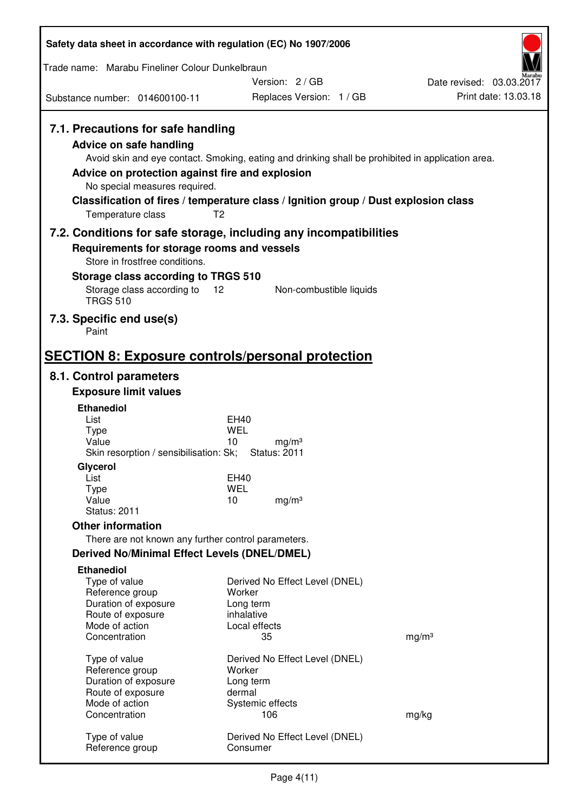| Safety data sheet in accordance with regulation (EC) No 1907/2006                                                                                                      |                                                                                                                                                                                                            |                          |
|------------------------------------------------------------------------------------------------------------------------------------------------------------------------|------------------------------------------------------------------------------------------------------------------------------------------------------------------------------------------------------------|--------------------------|
| Trade name: Marabu Fineliner Colour Dunkelbraun                                                                                                                        |                                                                                                                                                                                                            |                          |
|                                                                                                                                                                        | Version: 2/GB                                                                                                                                                                                              | Date revised: 03.03.2017 |
| Substance number: 014600100-11                                                                                                                                         | Replaces Version: 1 / GB                                                                                                                                                                                   | Print date: 13.03.18     |
| 7.1. Precautions for safe handling<br>Advice on safe handling<br>Advice on protection against fire and explosion<br>No special measures required.<br>Temperature class | Avoid skin and eye contact. Smoking, eating and drinking shall be prohibited in application area.<br>Classification of fires / temperature class / Ignition group / Dust explosion class<br>T <sub>2</sub> |                          |
|                                                                                                                                                                        | 7.2. Conditions for safe storage, including any incompatibilities                                                                                                                                          |                          |
| Requirements for storage rooms and vessels<br>Store in frostfree conditions.<br>Storage class according to TRGS 510<br>Storage class according to<br><b>TRGS 510</b>   | 12<br>Non-combustible liquids                                                                                                                                                                              |                          |
| 7.3. Specific end use(s)<br>Paint                                                                                                                                      |                                                                                                                                                                                                            |                          |
|                                                                                                                                                                        |                                                                                                                                                                                                            |                          |
| 8.1. Control parameters                                                                                                                                                | <b>SECTION 8: Exposure controls/personal protection</b>                                                                                                                                                    |                          |
| <b>Exposure limit values</b>                                                                                                                                           |                                                                                                                                                                                                            |                          |
| <b>Ethanediol</b>                                                                                                                                                      |                                                                                                                                                                                                            |                          |
| List                                                                                                                                                                   | EH40                                                                                                                                                                                                       |                          |
| <b>Type</b><br>Value                                                                                                                                                   | WEL<br>10<br>mq/m <sup>3</sup>                                                                                                                                                                             |                          |
| Skin resorption / sensibilisation: Sk;                                                                                                                                 | <b>Status: 2011</b>                                                                                                                                                                                        |                          |
| Glycerol                                                                                                                                                               |                                                                                                                                                                                                            |                          |
| List<br><b>Type</b>                                                                                                                                                    | <b>EH40</b><br><b>WEL</b>                                                                                                                                                                                  |                          |
| Value                                                                                                                                                                  | 10<br>mg/m <sup>3</sup>                                                                                                                                                                                    |                          |
| <b>Status: 2011</b>                                                                                                                                                    |                                                                                                                                                                                                            |                          |
| <b>Other information</b>                                                                                                                                               |                                                                                                                                                                                                            |                          |
| There are not known any further control parameters.                                                                                                                    |                                                                                                                                                                                                            |                          |
| <b>Derived No/Minimal Effect Levels (DNEL/DMEL)</b>                                                                                                                    |                                                                                                                                                                                                            |                          |
| <b>Ethanediol</b><br>Type of value<br>Reference group<br>Duration of exposure<br>Route of exposure<br>Mode of action                                                   | Derived No Effect Level (DNEL)<br>Worker<br>Long term<br>inhalative<br>Local effects                                                                                                                       |                          |
| Concentration                                                                                                                                                          | 35                                                                                                                                                                                                         | mg/m <sup>3</sup>        |
| Type of value<br>Reference group<br>Duration of exposure<br>Route of exposure<br>Mode of action                                                                        | Derived No Effect Level (DNEL)<br>Worker<br>Long term<br>dermal<br>Systemic effects                                                                                                                        |                          |
| Concentration                                                                                                                                                          | 106                                                                                                                                                                                                        | mg/kg                    |
| Type of value<br>Reference group                                                                                                                                       | Derived No Effect Level (DNEL)<br>Consumer                                                                                                                                                                 |                          |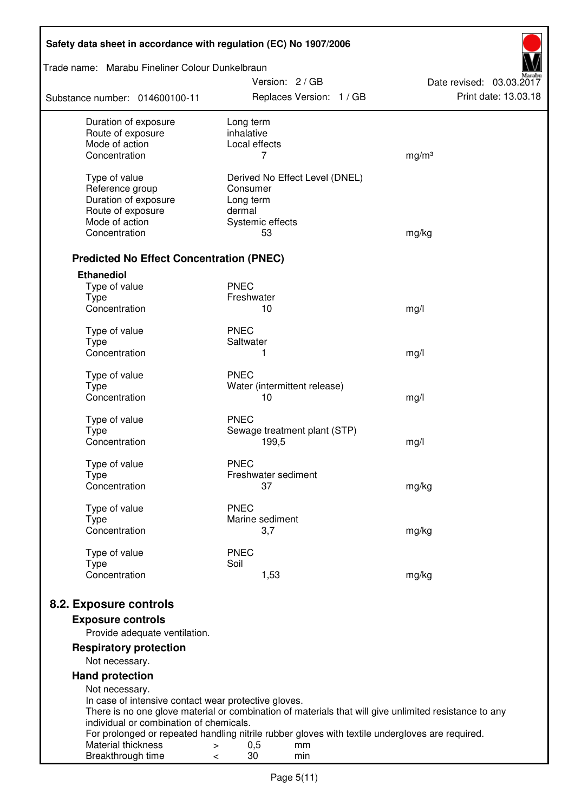| Safety data sheet in accordance with regulation (EC) No 1907/2006 |                                                                                                       |                                                  |
|-------------------------------------------------------------------|-------------------------------------------------------------------------------------------------------|--------------------------------------------------|
| Trade name: Marabu Fineliner Colour Dunkelbraun                   |                                                                                                       |                                                  |
| Substance number: 014600100-11                                    | Version: 2 / GB<br>Replaces Version: 1 / GB                                                           | Date revised: 03.03.2017<br>Print date: 13.03.18 |
| Duration of exposure                                              | Long term                                                                                             |                                                  |
| Route of exposure<br>Mode of action                               | inhalative                                                                                            |                                                  |
| Concentration                                                     | Local effects<br>7                                                                                    | mg/m <sup>3</sup>                                |
|                                                                   |                                                                                                       |                                                  |
| Type of value                                                     | Derived No Effect Level (DNEL)                                                                        |                                                  |
| Reference group<br>Duration of exposure                           | Consumer<br>Long term                                                                                 |                                                  |
| Route of exposure                                                 | dermal                                                                                                |                                                  |
| Mode of action                                                    | Systemic effects                                                                                      |                                                  |
| Concentration                                                     | 53                                                                                                    | mg/kg                                            |
| <b>Predicted No Effect Concentration (PNEC)</b>                   |                                                                                                       |                                                  |
| <b>Ethanediol</b>                                                 |                                                                                                       |                                                  |
| Type of value                                                     | <b>PNEC</b>                                                                                           |                                                  |
| <b>Type</b>                                                       | Freshwater                                                                                            |                                                  |
| Concentration                                                     | 10                                                                                                    | mg/l                                             |
| Type of value                                                     | <b>PNEC</b>                                                                                           |                                                  |
| <b>Type</b>                                                       | Saltwater                                                                                             |                                                  |
| Concentration                                                     | 1                                                                                                     | mg/l                                             |
| Type of value                                                     | <b>PNEC</b>                                                                                           |                                                  |
| <b>Type</b>                                                       | Water (intermittent release)                                                                          |                                                  |
| Concentration                                                     | 10                                                                                                    | mg/l                                             |
| Type of value                                                     | <b>PNEC</b>                                                                                           |                                                  |
| <b>Type</b>                                                       | Sewage treatment plant (STP)                                                                          |                                                  |
| Concentration                                                     | 199,5                                                                                                 | mg/l                                             |
| Type of value                                                     | <b>PNEC</b>                                                                                           |                                                  |
| <b>Type</b>                                                       | Freshwater sediment                                                                                   |                                                  |
| Concentration                                                     | 37                                                                                                    | mg/kg                                            |
| Type of value                                                     | <b>PNEC</b>                                                                                           |                                                  |
| <b>Type</b>                                                       | Marine sediment                                                                                       |                                                  |
| Concentration                                                     | 3,7                                                                                                   | mg/kg                                            |
| Type of value                                                     | <b>PNEC</b>                                                                                           |                                                  |
| <b>Type</b>                                                       | Soil                                                                                                  |                                                  |
| Concentration                                                     | 1,53                                                                                                  | mg/kg                                            |
| 8.2. Exposure controls                                            |                                                                                                       |                                                  |
| <b>Exposure controls</b>                                          |                                                                                                       |                                                  |
| Provide adequate ventilation.                                     |                                                                                                       |                                                  |
| <b>Respiratory protection</b><br>Not necessary.                   |                                                                                                       |                                                  |
| <b>Hand protection</b>                                            |                                                                                                       |                                                  |
| Not necessary.                                                    |                                                                                                       |                                                  |
| In case of intensive contact wear protective gloves.              |                                                                                                       |                                                  |
|                                                                   | There is no one glove material or combination of materials that will give unlimited resistance to any |                                                  |
| individual or combination of chemicals.                           | For prolonged or repeated handling nitrile rubber gloves with textile undergloves are required.       |                                                  |
| Material thickness                                                | 0,5<br>mm<br>$\,>$                                                                                    |                                                  |
| Breakthrough time                                                 | 30<br>min<br>$\,<\,$                                                                                  |                                                  |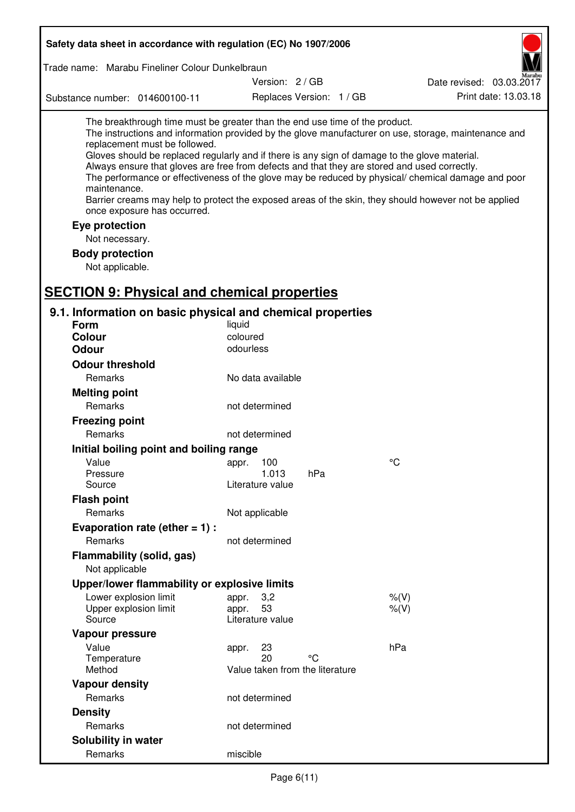| Safety data sheet in accordance with regulation (EC) No 1907/2006                                                                                                                                                                                                                                                                                            |                                                      |                          |                                                                                                                                                                                                                                                                                                                    |
|--------------------------------------------------------------------------------------------------------------------------------------------------------------------------------------------------------------------------------------------------------------------------------------------------------------------------------------------------------------|------------------------------------------------------|--------------------------|--------------------------------------------------------------------------------------------------------------------------------------------------------------------------------------------------------------------------------------------------------------------------------------------------------------------|
| Trade name: Marabu Fineliner Colour Dunkelbraun                                                                                                                                                                                                                                                                                                              |                                                      |                          |                                                                                                                                                                                                                                                                                                                    |
|                                                                                                                                                                                                                                                                                                                                                              | Version: 2 / GB                                      |                          | Date revised: 03.03.2017                                                                                                                                                                                                                                                                                           |
| Substance number: 014600100-11                                                                                                                                                                                                                                                                                                                               |                                                      | Replaces Version: 1 / GB | Print date: 13.03.18                                                                                                                                                                                                                                                                                               |
| The breakthrough time must be greater than the end use time of the product.<br>replacement must be followed.<br>Gloves should be replaced regularly and if there is any sign of damage to the glove material.<br>Always ensure that gloves are free from defects and that they are stored and used correctly.<br>maintenance.<br>once exposure has occurred. |                                                      |                          | The instructions and information provided by the glove manufacturer on use, storage, maintenance and<br>The performance or effectiveness of the glove may be reduced by physical/ chemical damage and poor<br>Barrier creams may help to protect the exposed areas of the skin, they should however not be applied |
| Eye protection                                                                                                                                                                                                                                                                                                                                               |                                                      |                          |                                                                                                                                                                                                                                                                                                                    |
| Not necessary.<br><b>Body protection</b><br>Not applicable.                                                                                                                                                                                                                                                                                                  |                                                      |                          |                                                                                                                                                                                                                                                                                                                    |
| <b>SECTION 9: Physical and chemical properties</b>                                                                                                                                                                                                                                                                                                           |                                                      |                          |                                                                                                                                                                                                                                                                                                                    |
| 9.1. Information on basic physical and chemical properties                                                                                                                                                                                                                                                                                                   |                                                      |                          |                                                                                                                                                                                                                                                                                                                    |
| <b>Form</b>                                                                                                                                                                                                                                                                                                                                                  | liquid                                               |                          |                                                                                                                                                                                                                                                                                                                    |
| <b>Colour</b>                                                                                                                                                                                                                                                                                                                                                | coloured                                             |                          |                                                                                                                                                                                                                                                                                                                    |
| <b>Odour</b>                                                                                                                                                                                                                                                                                                                                                 | odourless                                            |                          |                                                                                                                                                                                                                                                                                                                    |
| <b>Odour threshold</b>                                                                                                                                                                                                                                                                                                                                       |                                                      |                          |                                                                                                                                                                                                                                                                                                                    |
| Remarks                                                                                                                                                                                                                                                                                                                                                      | No data available                                    |                          |                                                                                                                                                                                                                                                                                                                    |
| <b>Melting point</b>                                                                                                                                                                                                                                                                                                                                         |                                                      |                          |                                                                                                                                                                                                                                                                                                                    |
| Remarks                                                                                                                                                                                                                                                                                                                                                      | not determined                                       |                          |                                                                                                                                                                                                                                                                                                                    |
| <b>Freezing point</b>                                                                                                                                                                                                                                                                                                                                        |                                                      |                          |                                                                                                                                                                                                                                                                                                                    |
| Remarks                                                                                                                                                                                                                                                                                                                                                      | not determined                                       |                          |                                                                                                                                                                                                                                                                                                                    |
| Initial boiling point and boiling range                                                                                                                                                                                                                                                                                                                      |                                                      |                          |                                                                                                                                                                                                                                                                                                                    |
| Value                                                                                                                                                                                                                                                                                                                                                        | appr. 100                                            |                          | $\rm ^{\circ}C$                                                                                                                                                                                                                                                                                                    |
| Pressure                                                                                                                                                                                                                                                                                                                                                     | 1.013                                                | hPa                      |                                                                                                                                                                                                                                                                                                                    |
| Source                                                                                                                                                                                                                                                                                                                                                       | Literature value                                     |                          |                                                                                                                                                                                                                                                                                                                    |
| <b>Flash point</b>                                                                                                                                                                                                                                                                                                                                           |                                                      |                          |                                                                                                                                                                                                                                                                                                                    |
| Remarks                                                                                                                                                                                                                                                                                                                                                      | Not applicable                                       |                          |                                                                                                                                                                                                                                                                                                                    |
| Evaporation rate (ether $= 1$ ) :                                                                                                                                                                                                                                                                                                                            |                                                      |                          |                                                                                                                                                                                                                                                                                                                    |
| Remarks                                                                                                                                                                                                                                                                                                                                                      | not determined                                       |                          |                                                                                                                                                                                                                                                                                                                    |
| Flammability (solid, gas)<br>Not applicable                                                                                                                                                                                                                                                                                                                  |                                                      |                          |                                                                                                                                                                                                                                                                                                                    |
| Upper/lower flammability or explosive limits                                                                                                                                                                                                                                                                                                                 |                                                      |                          |                                                                                                                                                                                                                                                                                                                    |
| Lower explosion limit<br>Upper explosion limit<br>Source                                                                                                                                                                                                                                                                                                     | 3,2<br>appr.<br>53<br>appr.<br>Literature value      |                          | % (V)<br>% (V)                                                                                                                                                                                                                                                                                                     |
| Vapour pressure                                                                                                                                                                                                                                                                                                                                              |                                                      |                          |                                                                                                                                                                                                                                                                                                                    |
| Value<br>Temperature<br>Method                                                                                                                                                                                                                                                                                                                               | 23<br>appr.<br>20<br>Value taken from the literature | °C                       | hPa                                                                                                                                                                                                                                                                                                                |
| <b>Vapour density</b>                                                                                                                                                                                                                                                                                                                                        |                                                      |                          |                                                                                                                                                                                                                                                                                                                    |
| Remarks                                                                                                                                                                                                                                                                                                                                                      | not determined                                       |                          |                                                                                                                                                                                                                                                                                                                    |
| <b>Density</b>                                                                                                                                                                                                                                                                                                                                               |                                                      |                          |                                                                                                                                                                                                                                                                                                                    |
| Remarks                                                                                                                                                                                                                                                                                                                                                      | not determined                                       |                          |                                                                                                                                                                                                                                                                                                                    |
|                                                                                                                                                                                                                                                                                                                                                              |                                                      |                          |                                                                                                                                                                                                                                                                                                                    |
| Solubility in water<br>Remarks                                                                                                                                                                                                                                                                                                                               | miscible                                             |                          |                                                                                                                                                                                                                                                                                                                    |
|                                                                                                                                                                                                                                                                                                                                                              |                                                      |                          |                                                                                                                                                                                                                                                                                                                    |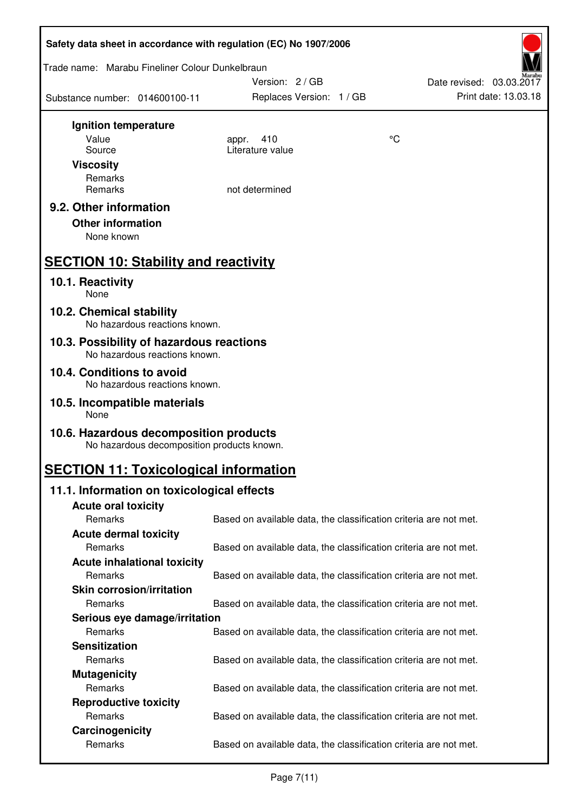| Safety data sheet in accordance with regulation (EC) No 1907/2006                    |                                                                   |                          |  |  |
|--------------------------------------------------------------------------------------|-------------------------------------------------------------------|--------------------------|--|--|
| Trade name: Marabu Fineliner Colour Dunkelbraun                                      |                                                                   |                          |  |  |
|                                                                                      | Version: 2/GB                                                     | Date revised: 03.03.2017 |  |  |
| Substance number: 014600100-11                                                       | Replaces Version: 1 / GB                                          | Print date: 13.03.18     |  |  |
| Ignition temperature                                                                 |                                                                   |                          |  |  |
| Value                                                                                | 410<br>appr.                                                      | $\rm ^{\circ}C$          |  |  |
| Source                                                                               | Literature value                                                  |                          |  |  |
| <b>Viscosity</b>                                                                     |                                                                   |                          |  |  |
| Remarks                                                                              |                                                                   |                          |  |  |
| Remarks                                                                              | not determined                                                    |                          |  |  |
| 9.2. Other information                                                               |                                                                   |                          |  |  |
| <b>Other information</b>                                                             |                                                                   |                          |  |  |
| None known                                                                           |                                                                   |                          |  |  |
| <b>SECTION 10: Stability and reactivity</b>                                          |                                                                   |                          |  |  |
| 10.1. Reactivity<br>None                                                             |                                                                   |                          |  |  |
| 10.2. Chemical stability                                                             |                                                                   |                          |  |  |
| No hazardous reactions known.<br>10.3. Possibility of hazardous reactions            |                                                                   |                          |  |  |
| No hazardous reactions known.                                                        |                                                                   |                          |  |  |
| 10.4. Conditions to avoid<br>No hazardous reactions known.                           |                                                                   |                          |  |  |
| 10.5. Incompatible materials<br>None                                                 |                                                                   |                          |  |  |
| 10.6. Hazardous decomposition products<br>No hazardous decomposition products known. |                                                                   |                          |  |  |
| <b>SECTION 11: Toxicological information</b>                                         |                                                                   |                          |  |  |
| 11.1. Information on toxicological effects                                           |                                                                   |                          |  |  |
| <b>Acute oral toxicity</b>                                                           |                                                                   |                          |  |  |
| Remarks                                                                              | Based on available data, the classification criteria are not met. |                          |  |  |
| <b>Acute dermal toxicity</b>                                                         |                                                                   |                          |  |  |
| Remarks                                                                              | Based on available data, the classification criteria are not met. |                          |  |  |
| <b>Acute inhalational toxicity</b>                                                   |                                                                   |                          |  |  |
| Remarks                                                                              | Based on available data, the classification criteria are not met. |                          |  |  |
| <b>Skin corrosion/irritation</b>                                                     |                                                                   |                          |  |  |
| Remarks                                                                              | Based on available data, the classification criteria are not met. |                          |  |  |
| Serious eye damage/irritation                                                        |                                                                   |                          |  |  |
| Remarks                                                                              | Based on available data, the classification criteria are not met. |                          |  |  |
| <b>Sensitization</b>                                                                 |                                                                   |                          |  |  |
| Remarks                                                                              | Based on available data, the classification criteria are not met. |                          |  |  |
| <b>Mutagenicity</b>                                                                  |                                                                   |                          |  |  |
| Remarks                                                                              | Based on available data, the classification criteria are not met. |                          |  |  |
| <b>Reproductive toxicity</b>                                                         |                                                                   |                          |  |  |
| Remarks                                                                              | Based on available data, the classification criteria are not met. |                          |  |  |
| Carcinogenicity                                                                      |                                                                   |                          |  |  |
| Remarks                                                                              | Based on available data, the classification criteria are not met. |                          |  |  |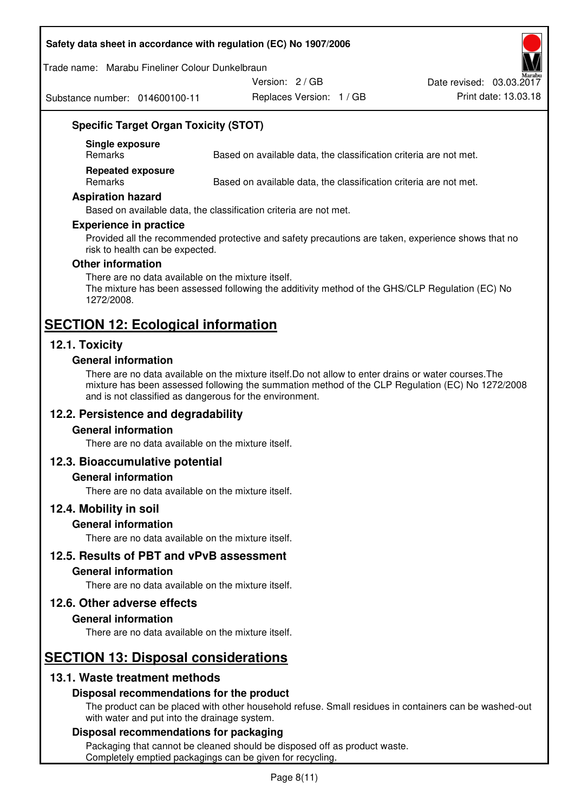#### **Safety data sheet in accordance with regulation (EC) No 1907/2006**

Trade name: Marabu Fineliner Colour Dunkelbraun

Substance number: 014600100-11

Version: 2 / GB

Replaces Version: 1 / GB Print date: 13.03.18 Date revised: 03.03.2017

## **Specific Target Organ Toxicity (STOT)**

**Single exposure** 

Based on available data, the classification criteria are not met.

**Repeated exposure** 

Remarks Based on available data, the classification criteria are not met.

#### **Aspiration hazard**

Based on available data, the classification criteria are not met.

#### **Experience in practice**

Provided all the recommended protective and safety precautions are taken, experience shows that no risk to health can be expected.

#### **Other information**

There are no data available on the mixture itself. The mixture has been assessed following the additivity method of the GHS/CLP Regulation (EC) No 1272/2008.

## **SECTION 12: Ecological information**

#### **12.1. Toxicity**

#### **General information**

There are no data available on the mixture itself.Do not allow to enter drains or water courses.The mixture has been assessed following the summation method of the CLP Regulation (EC) No 1272/2008 and is not classified as dangerous for the environment.

#### **12.2. Persistence and degradability**

#### **General information**

There are no data available on the mixture itself.

#### **12.3. Bioaccumulative potential**

#### **General information**

There are no data available on the mixture itself.

#### **12.4. Mobility in soil**

#### **General information**

There are no data available on the mixture itself.

**12.5. Results of PBT and vPvB assessment** 

#### **General information**

There are no data available on the mixture itself.

#### **12.6. Other adverse effects**

#### **General information**

There are no data available on the mixture itself.

# **SECTION 13: Disposal considerations**

#### **13.1. Waste treatment methods**

#### **Disposal recommendations for the product**

The product can be placed with other household refuse. Small residues in containers can be washed-out with water and put into the drainage system.

#### **Disposal recommendations for packaging**

Packaging that cannot be cleaned should be disposed off as product waste. Completely emptied packagings can be given for recycling.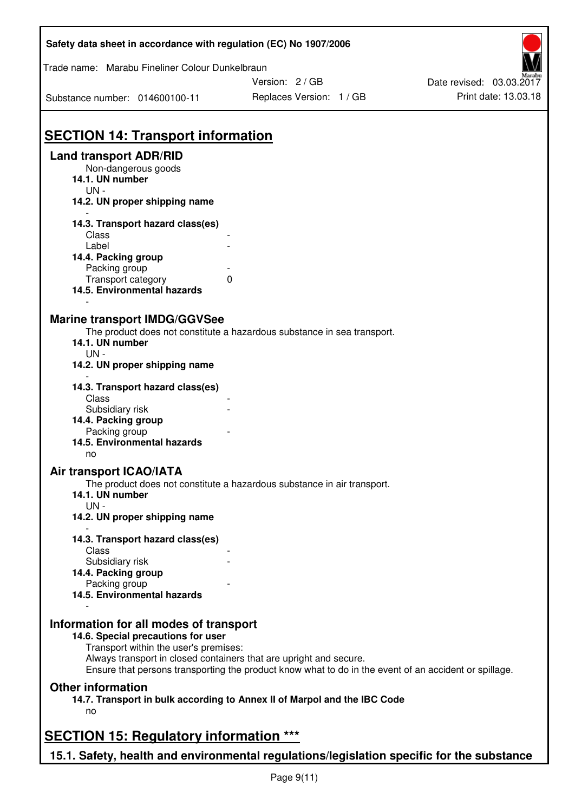| Safety data sheet in accordance with regulation (EC) No 1907/2006 |                                                                                                       |                                                  |
|-------------------------------------------------------------------|-------------------------------------------------------------------------------------------------------|--------------------------------------------------|
| Trade name: Marabu Fineliner Colour Dunkelbraun                   |                                                                                                       |                                                  |
| Substance number: 014600100-11                                    | Version: 2/GB<br>Replaces Version: 1 / GB                                                             | Date revised: 03.03.2017<br>Print date: 13.03.18 |
|                                                                   |                                                                                                       |                                                  |
| <b>SECTION 14: Transport information</b>                          |                                                                                                       |                                                  |
| <b>Land transport ADR/RID</b><br>Non-dangerous goods              |                                                                                                       |                                                  |
| 14.1. UN number                                                   |                                                                                                       |                                                  |
| $UN -$<br>14.2. UN proper shipping name                           |                                                                                                       |                                                  |
|                                                                   |                                                                                                       |                                                  |
| 14.3. Transport hazard class(es)<br>Class                         |                                                                                                       |                                                  |
| Label                                                             |                                                                                                       |                                                  |
| 14.4. Packing group                                               |                                                                                                       |                                                  |
| Packing group<br>Transport category                               | 0                                                                                                     |                                                  |
| 14.5. Environmental hazards                                       |                                                                                                       |                                                  |
|                                                                   |                                                                                                       |                                                  |
| <b>Marine transport IMDG/GGVSee</b>                               | The product does not constitute a hazardous substance in sea transport.                               |                                                  |
| 14.1. UN number                                                   |                                                                                                       |                                                  |
| $UN -$                                                            |                                                                                                       |                                                  |
| 14.2. UN proper shipping name                                     |                                                                                                       |                                                  |
| 14.3. Transport hazard class(es)                                  |                                                                                                       |                                                  |
| Class<br>Subsidiary risk                                          |                                                                                                       |                                                  |
| 14.4. Packing group                                               |                                                                                                       |                                                  |
| Packing group                                                     |                                                                                                       |                                                  |
| 14.5. Environmental hazards<br>no                                 |                                                                                                       |                                                  |
| <b>Air transport ICAO/IATA</b>                                    |                                                                                                       |                                                  |
|                                                                   | The product does not constitute a hazardous substance in air transport.                               |                                                  |
| 14.1. UN number                                                   |                                                                                                       |                                                  |
| $UN -$<br>14.2. UN proper shipping name                           |                                                                                                       |                                                  |
|                                                                   |                                                                                                       |                                                  |
| 14.3. Transport hazard class(es)<br>Class                         |                                                                                                       |                                                  |
| Subsidiary risk                                                   |                                                                                                       |                                                  |
| 14.4. Packing group                                               |                                                                                                       |                                                  |
| Packing group<br>14.5. Environmental hazards                      |                                                                                                       |                                                  |
|                                                                   |                                                                                                       |                                                  |
| Information for all modes of transport                            |                                                                                                       |                                                  |
| 14.6. Special precautions for user                                |                                                                                                       |                                                  |
| Transport within the user's premises:                             | Always transport in closed containers that are upright and secure.                                    |                                                  |
|                                                                   | Ensure that persons transporting the product know what to do in the event of an accident or spillage. |                                                  |
| <b>Other information</b>                                          |                                                                                                       |                                                  |
|                                                                   | 14.7. Transport in bulk according to Annex II of Marpol and the IBC Code                              |                                                  |
| no                                                                |                                                                                                       |                                                  |
| <b>SECTION 15: Regulatory information ***</b>                     |                                                                                                       |                                                  |
|                                                                   |                                                                                                       |                                                  |

**15.1. Safety, health and environmental regulations/legislation specific for the substance** 

 $\overline{\phantom{a}}$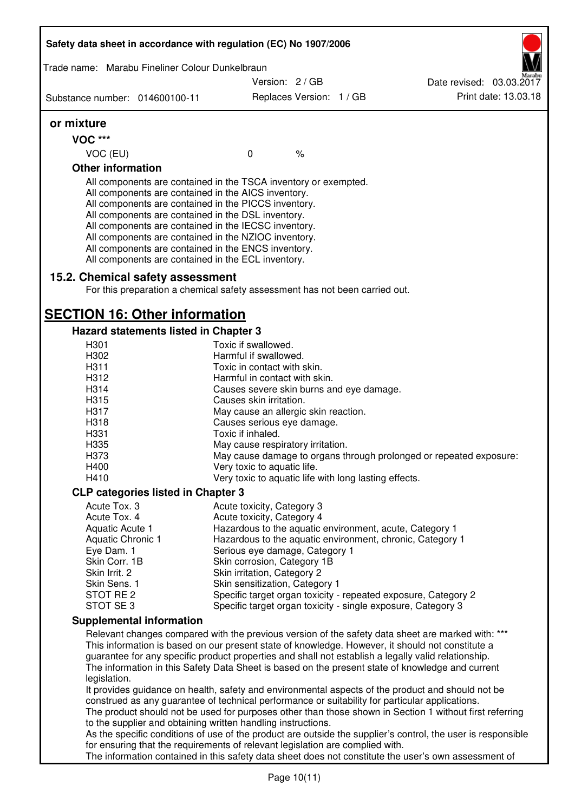|                                      | Trade name: Marabu Fineliner Colour Dunkelbraun                                                                                                                                                                                                                                                                                                                                                                                                                   |                                                                                                   |                          |  |                                                                                                                                                                                                                                                                                                             |
|--------------------------------------|-------------------------------------------------------------------------------------------------------------------------------------------------------------------------------------------------------------------------------------------------------------------------------------------------------------------------------------------------------------------------------------------------------------------------------------------------------------------|---------------------------------------------------------------------------------------------------|--------------------------|--|-------------------------------------------------------------------------------------------------------------------------------------------------------------------------------------------------------------------------------------------------------------------------------------------------------------|
|                                      |                                                                                                                                                                                                                                                                                                                                                                                                                                                                   | Version: 2/GB                                                                                     |                          |  | Date revised: 03.03.2017                                                                                                                                                                                                                                                                                    |
| Substance number: 014600100-11       |                                                                                                                                                                                                                                                                                                                                                                                                                                                                   |                                                                                                   | Replaces Version: 1 / GB |  | Print date: 13.03.18                                                                                                                                                                                                                                                                                        |
| or mixture                           |                                                                                                                                                                                                                                                                                                                                                                                                                                                                   |                                                                                                   |                          |  |                                                                                                                                                                                                                                                                                                             |
| <b>VOC ***</b>                       |                                                                                                                                                                                                                                                                                                                                                                                                                                                                   |                                                                                                   |                          |  |                                                                                                                                                                                                                                                                                                             |
| VOC (EU)                             |                                                                                                                                                                                                                                                                                                                                                                                                                                                                   | $\mathbf{0}$                                                                                      | $\%$                     |  |                                                                                                                                                                                                                                                                                                             |
| <b>Other information</b>             |                                                                                                                                                                                                                                                                                                                                                                                                                                                                   |                                                                                                   |                          |  |                                                                                                                                                                                                                                                                                                             |
|                                      | All components are contained in the TSCA inventory or exempted.<br>All components are contained in the AICS inventory.<br>All components are contained in the PICCS inventory.<br>All components are contained in the DSL inventory.<br>All components are contained in the IECSC inventory.<br>All components are contained in the NZIOC inventory.<br>All components are contained in the ENCS inventory.<br>All components are contained in the ECL inventory. |                                                                                                   |                          |  |                                                                                                                                                                                                                                                                                                             |
|                                      | 15.2. Chemical safety assessment<br>For this preparation a chemical safety assessment has not been carried out.                                                                                                                                                                                                                                                                                                                                                   |                                                                                                   |                          |  |                                                                                                                                                                                                                                                                                                             |
| <b>SECTION 16: Other information</b> |                                                                                                                                                                                                                                                                                                                                                                                                                                                                   |                                                                                                   |                          |  |                                                                                                                                                                                                                                                                                                             |
|                                      | Hazard statements listed in Chapter 3                                                                                                                                                                                                                                                                                                                                                                                                                             |                                                                                                   |                          |  |                                                                                                                                                                                                                                                                                                             |
| H301                                 |                                                                                                                                                                                                                                                                                                                                                                                                                                                                   | Toxic if swallowed.                                                                               |                          |  |                                                                                                                                                                                                                                                                                                             |
| H302                                 |                                                                                                                                                                                                                                                                                                                                                                                                                                                                   | Harmful if swallowed.                                                                             |                          |  |                                                                                                                                                                                                                                                                                                             |
| H <sub>3</sub> 11                    |                                                                                                                                                                                                                                                                                                                                                                                                                                                                   | Toxic in contact with skin.                                                                       |                          |  |                                                                                                                                                                                                                                                                                                             |
| H312                                 |                                                                                                                                                                                                                                                                                                                                                                                                                                                                   | Harmful in contact with skin.                                                                     |                          |  |                                                                                                                                                                                                                                                                                                             |
| H314                                 |                                                                                                                                                                                                                                                                                                                                                                                                                                                                   | Causes severe skin burns and eye damage.                                                          |                          |  |                                                                                                                                                                                                                                                                                                             |
| H315                                 |                                                                                                                                                                                                                                                                                                                                                                                                                                                                   | Causes skin irritation.                                                                           |                          |  |                                                                                                                                                                                                                                                                                                             |
| H317                                 |                                                                                                                                                                                                                                                                                                                                                                                                                                                                   | May cause an allergic skin reaction.                                                              |                          |  |                                                                                                                                                                                                                                                                                                             |
| H318<br>H331                         |                                                                                                                                                                                                                                                                                                                                                                                                                                                                   | Causes serious eye damage.<br>Toxic if inhaled.                                                   |                          |  |                                                                                                                                                                                                                                                                                                             |
| H335                                 |                                                                                                                                                                                                                                                                                                                                                                                                                                                                   | May cause respiratory irritation.                                                                 |                          |  |                                                                                                                                                                                                                                                                                                             |
| H373                                 |                                                                                                                                                                                                                                                                                                                                                                                                                                                                   |                                                                                                   |                          |  |                                                                                                                                                                                                                                                                                                             |
| H400                                 |                                                                                                                                                                                                                                                                                                                                                                                                                                                                   | May cause damage to organs through prolonged or repeated exposure:<br>Very toxic to aquatic life. |                          |  |                                                                                                                                                                                                                                                                                                             |
| H410                                 |                                                                                                                                                                                                                                                                                                                                                                                                                                                                   | Very toxic to aquatic life with long lasting effects.                                             |                          |  |                                                                                                                                                                                                                                                                                                             |
|                                      | <b>CLP categories listed in Chapter 3</b>                                                                                                                                                                                                                                                                                                                                                                                                                         |                                                                                                   |                          |  |                                                                                                                                                                                                                                                                                                             |
| Acute Tox. 3                         |                                                                                                                                                                                                                                                                                                                                                                                                                                                                   | Acute toxicity, Category 3                                                                        |                          |  |                                                                                                                                                                                                                                                                                                             |
| Acute Tox. 4                         |                                                                                                                                                                                                                                                                                                                                                                                                                                                                   | Acute toxicity, Category 4                                                                        |                          |  |                                                                                                                                                                                                                                                                                                             |
| Aquatic Acute 1                      |                                                                                                                                                                                                                                                                                                                                                                                                                                                                   | Hazardous to the aquatic environment, acute, Category 1                                           |                          |  |                                                                                                                                                                                                                                                                                                             |
| Aquatic Chronic 1                    |                                                                                                                                                                                                                                                                                                                                                                                                                                                                   | Hazardous to the aquatic environment, chronic, Category 1                                         |                          |  |                                                                                                                                                                                                                                                                                                             |
| Eye Dam. 1                           |                                                                                                                                                                                                                                                                                                                                                                                                                                                                   | Serious eye damage, Category 1                                                                    |                          |  |                                                                                                                                                                                                                                                                                                             |
| Skin Corr. 1B                        |                                                                                                                                                                                                                                                                                                                                                                                                                                                                   | Skin corrosion, Category 1B                                                                       |                          |  |                                                                                                                                                                                                                                                                                                             |
| Skin Irrit. 2                        |                                                                                                                                                                                                                                                                                                                                                                                                                                                                   | Skin irritation, Category 2                                                                       |                          |  |                                                                                                                                                                                                                                                                                                             |
| Skin Sens. 1                         |                                                                                                                                                                                                                                                                                                                                                                                                                                                                   | Skin sensitization, Category 1                                                                    |                          |  |                                                                                                                                                                                                                                                                                                             |
| STOT RE 2<br>STOT SE 3               |                                                                                                                                                                                                                                                                                                                                                                                                                                                                   | Specific target organ toxicity - single exposure, Category 3                                      |                          |  | Specific target organ toxicity - repeated exposure, Category 2                                                                                                                                                                                                                                              |
|                                      | <b>Supplemental information</b>                                                                                                                                                                                                                                                                                                                                                                                                                                   |                                                                                                   |                          |  |                                                                                                                                                                                                                                                                                                             |
|                                      |                                                                                                                                                                                                                                                                                                                                                                                                                                                                   |                                                                                                   |                          |  | Relevant changes compared with the previous version of the safety data sheet are marked with: ***                                                                                                                                                                                                           |
| legislation.                         |                                                                                                                                                                                                                                                                                                                                                                                                                                                                   |                                                                                                   |                          |  | This information is based on our present state of knowledge. However, it should not constitute a<br>guarantee for any specific product properties and shall not establish a legally valid relationship.<br>The information in this Safety Data Sheet is based on the present state of knowledge and current |
|                                      |                                                                                                                                                                                                                                                                                                                                                                                                                                                                   |                                                                                                   |                          |  | It provides guidance on health, safety and environmental aspects of the product and should not be<br>construed as any guarantee of technical performance or suitability for particular applications.                                                                                                        |
|                                      | to the supplier and obtaining written handling instructions.                                                                                                                                                                                                                                                                                                                                                                                                      |                                                                                                   |                          |  | The product should not be used for purposes other than those shown in Section 1 without first referring                                                                                                                                                                                                     |